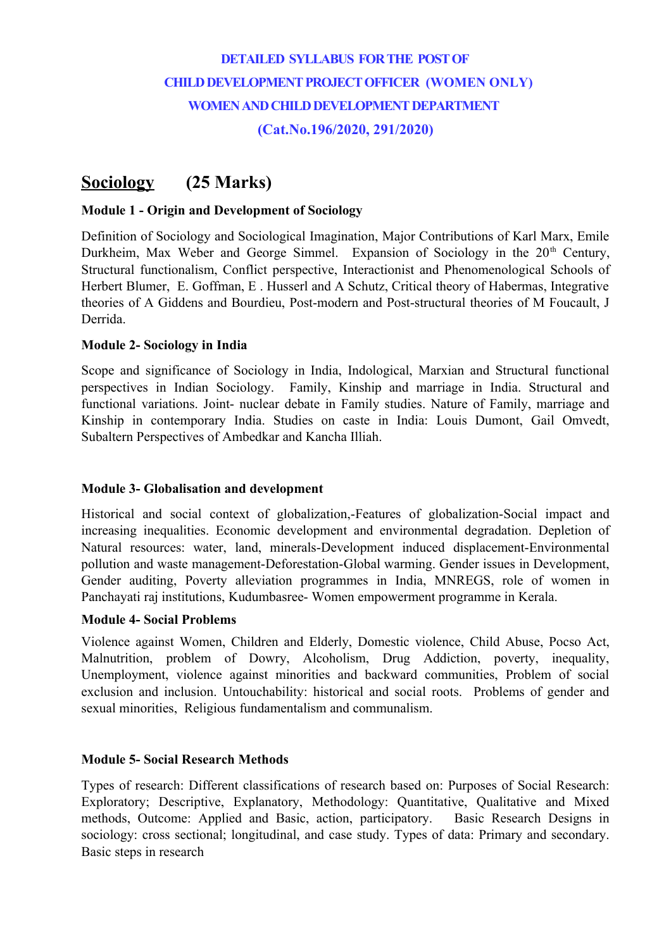# **DETAILED SYLLABUS FOR THE POST OF CHILD DEVELOPMENT PROJECT OFFICER (WOMEN ONLY) WOMEN AND CHILD DEVELOPMENT DEPARTMENT (Cat.No.196/2020, 291/2020)**

## **Sociology (25 Marks)**

### **Module 1 - Origin and Development of Sociology**

Definition of Sociology and Sociological Imagination, Major Contributions of Karl Marx, Emile Durkheim, Max Weber and George Simmel. Expansion of Sociology in the  $20<sup>th</sup>$  Century, Structural functionalism, Conflict perspective, Interactionist and Phenomenological Schools of Herbert Blumer, E. Goffman, E . Husserl and A Schutz, Critical theory of Habermas, Integrative theories of A Giddens and Bourdieu, Post-modern and Post-structural theories of M Foucault, J Derrida.

### **Module 2- Sociology in India**

Scope and significance of Sociology in India, Indological, Marxian and Structural functional perspectives in Indian Sociology. Family, Kinship and marriage in India. Structural and functional variations. Joint- nuclear debate in Family studies. Nature of Family, marriage and Kinship in contemporary India. Studies on caste in India: Louis Dumont, Gail Omvedt, Subaltern Perspectives of Ambedkar and Kancha Illiah.

### **Module 3- Globalisation and development**

Historical and social context of globalization,-Features of globalization-Social impact and increasing inequalities. Economic development and environmental degradation. Depletion of Natural resources: water, land, minerals-Development induced displacement-Environmental pollution and waste management-Deforestation-Global warming. Gender issues in Development, Gender auditing, Poverty alleviation programmes in India, MNREGS, role of women in Panchayati raj institutions, Kudumbasree- Women empowerment programme in Kerala.

### **Module 4- Social Problems**

Violence against Women, Children and Elderly, Domestic violence, Child Abuse, Pocso Act, Malnutrition, problem of Dowry, Alcoholism, Drug Addiction, poverty, inequality, Unemployment, violence against minorities and backward communities, Problem of social exclusion and inclusion. Untouchability: historical and social roots. Problems of gender and sexual minorities, Religious fundamentalism and communalism.

### **Module 5- Social Research Methods**

Types of research: Different classifications of research based on: Purposes of Social Research: Exploratory; Descriptive, Explanatory, Methodology: Quantitative, Qualitative and Mixed methods, Outcome: Applied and Basic, action, participatory. Basic Research Designs in sociology: cross sectional; longitudinal, and case study. Types of data: Primary and secondary. Basic steps in research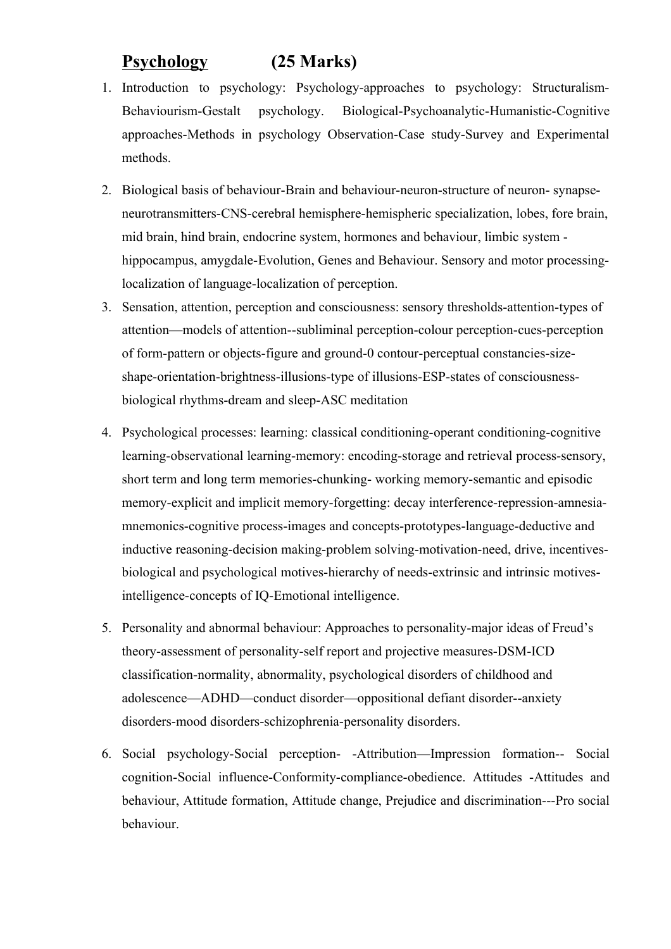# **Psychology (25 Marks)**

- 1. Introduction to psychology: Psychology-approaches to psychology: Structuralism-Behaviourism-Gestalt psychology. Biological-Psychoanalytic-Humanistic-Cognitive approaches-Methods in psychology Observation-Case study-Survey and Experimental methods.
- 2. Biological basis of behaviour-Brain and behaviour-neuron-structure of neuron- synapseneurotransmitters-CNS-cerebral hemisphere-hemispheric specialization, lobes, fore brain, mid brain, hind brain, endocrine system, hormones and behaviour, limbic system hippocampus, amygdale-Evolution, Genes and Behaviour. Sensory and motor processinglocalization of language-localization of perception.
- 3. Sensation, attention, perception and consciousness: sensory thresholds-attention-types of attention—models of attention--subliminal perception-colour perception-cues-perception of form-pattern or objects-figure and ground-0 contour-perceptual constancies-sizeshape-orientation-brightness-illusions-type of illusions-ESP-states of consciousnessbiological rhythms-dream and sleep-ASC meditation
- 4. Psychological processes: learning: classical conditioning-operant conditioning-cognitive learning-observational learning-memory: encoding-storage and retrieval process-sensory, short term and long term memories-chunking- working memory-semantic and episodic memory-explicit and implicit memory-forgetting: decay interference-repression-amnesiamnemonics-cognitive process-images and concepts-prototypes-language-deductive and inductive reasoning-decision making-problem solving-motivation-need, drive, incentivesbiological and psychological motives-hierarchy of needs-extrinsic and intrinsic motivesintelligence-concepts of IQ-Emotional intelligence.
- 5. Personality and abnormal behaviour: Approaches to personality-major ideas of Freud's theory-assessment of personality-self report and projective measures-DSM-ICD classification-normality, abnormality, psychological disorders of childhood and adolescence—ADHD—conduct disorder—oppositional defiant disorder--anxiety disorders-mood disorders-schizophrenia-personality disorders.
- 6. Social psychology-Social perception- -Attribution—Impression formation-- Social cognition-Social influence-Conformity-compliance-obedience. Attitudes -Attitudes and behaviour, Attitude formation, Attitude change, Prejudice and discrimination---Pro social behaviour.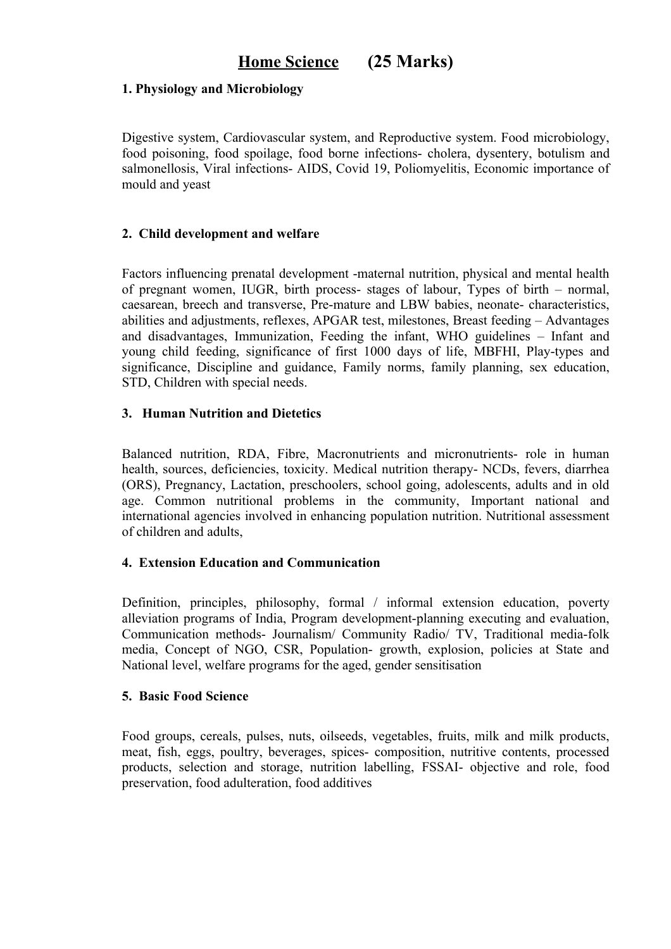### **1. Physiology and Microbiology**

Digestive system, Cardiovascular system, and Reproductive system. Food microbiology, food poisoning, food spoilage, food borne infections- cholera, dysentery, botulism and salmonellosis, Viral infections- AIDS, Covid 19, Poliomyelitis, Economic importance of mould and yeast

### **2. Child development and welfare**

Factors influencing prenatal development -maternal nutrition, physical and mental health of pregnant women, IUGR, birth process- stages of labour, Types of birth – normal, caesarean, breech and transverse, Pre-mature and LBW babies, neonate- characteristics, abilities and adjustments, reflexes, APGAR test, milestones, Breast feeding – Advantages and disadvantages, Immunization, Feeding the infant, WHO guidelines – Infant and young child feeding, significance of first 1000 days of life, MBFHI, Play-types and significance, Discipline and guidance, Family norms, family planning, sex education, STD, Children with special needs.

#### **3. Human Nutrition and Dietetics**

Balanced nutrition, RDA, Fibre, Macronutrients and micronutrients- role in human health, sources, deficiencies, toxicity. Medical nutrition therapy- NCDs, fevers, diarrhea (ORS), Pregnancy, Lactation, preschoolers, school going, adolescents, adults and in old age. Common nutritional problems in the community, Important national and international agencies involved in enhancing population nutrition. Nutritional assessment of children and adults,

#### **4. Extension Education and Communication**

Definition, principles, philosophy, formal / informal extension education, poverty alleviation programs of India, Program development-planning executing and evaluation, Communication methods- Journalism/ Community Radio/ TV, Traditional media-folk media, Concept of NGO, CSR, Population- growth, explosion, policies at State and National level, welfare programs for the aged, gender sensitisation

#### **5. Basic Food Science**

Food groups, cereals, pulses, nuts, oilseeds, vegetables, fruits, milk and milk products, meat, fish, eggs, poultry, beverages, spices- composition, nutritive contents, processed products, selection and storage, nutrition labelling, FSSAI- objective and role, food preservation, food adulteration, food additives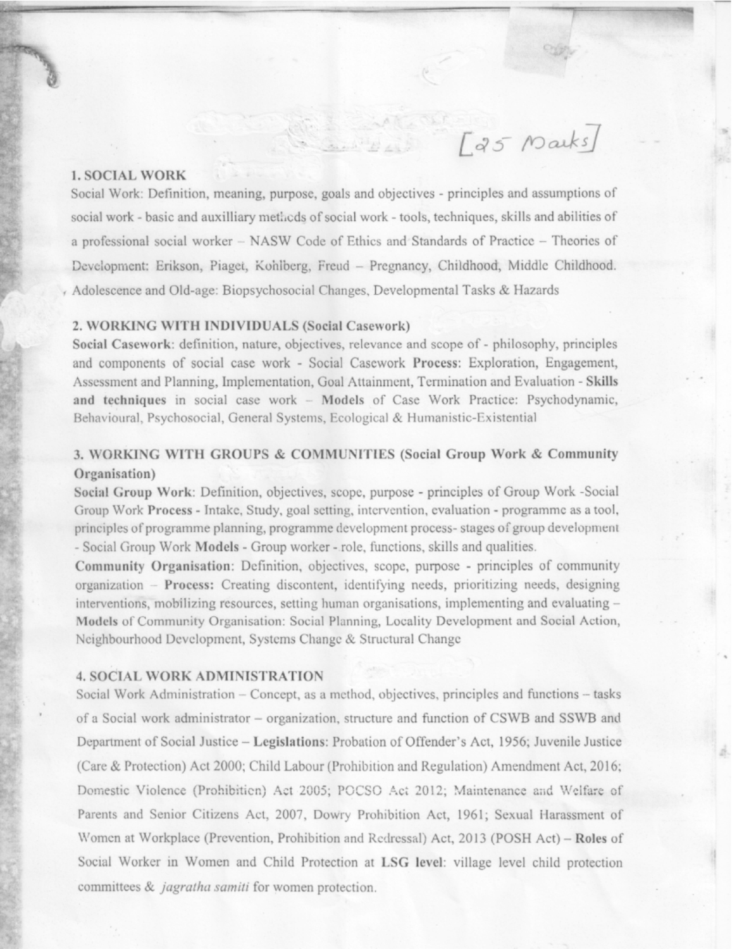#### **1. SOCIAL WORK**

Social Work: Definition, meaning, purpose, goals and objectives - principles and assumptions of social work - basic and auxilliary methods of social work - tools, techniques, skills and abilities of a professional social worker - NASW Code of Ethics and Standards of Practice - Theories of Development: Erikson, Piaget, Kohlberg, Freud - Pregnancy, Childhood, Middle Childhood. Adolescence and Old-age: Biopsychosocial Changes, Developmental Tasks & Hazards

[25 Marks]

#### 2. WORKING WITH INDIVIDUALS (Social Casework)

Social Casework: definition, nature, objectives, relevance and scope of - philosophy, principles and components of social case work - Social Casework Process: Exploration, Engagement, Assessment and Planning, Implementation, Goal Attainment, Termination and Evaluation - Skills and techniques in social case work - Models of Case Work Practice: Psychodynamic, Behavioural, Psychosocial, General Systems, Ecological & Humanistic-Existential

## 3. WORKING WITH GROUPS & COMMUNITIES (Social Group Work & Community Organisation)

Social Group Work: Definition, objectives, scope, purpose - principles of Group Work -Social Group Work Process - Intake, Study, goal setting, intervention, evaluation - programme as a tool, principles of programme planning, programme development process-stages of group development - Social Group Work Models - Group worker - role, functions, skills and qualities.

Community Organisation: Definition, objectives, scope, purpose - principles of community organization - Process: Creating discontent, identifying needs, prioritizing needs, designing interventions, mobilizing resources, setting human organisations, implementing and evaluating – Models of Community Organisation: Social Planning, Locality Development and Social Action, Neighbourhood Development, Systems Change & Structural Change

#### **4. SOCIAL WORK ADMINISTRATION**

Social Work Administration – Concept, as a method, objectives, principles and functions – tasks of a Social work administrator – organization, structure and function of CSWB and SSWB and Department of Social Justice - Legislations: Probation of Offender's Act, 1956; Juvenile Justice (Care & Protection) Act 2000; Child Labour (Prohibition and Regulation) Amendment Act, 2016; Domestic Violence (Prohibition) Act 2005; POCSO Act 2012; Maintenance and Welfare of Parents and Senior Citizens Act, 2007, Dowry Prohibition Act, 1961; Sexual Harassment of Women at Workplace (Prevention, Prohibition and Redressal) Act, 2013 (POSH Act) - Roles of Social Worker in Women and Child Protection at LSG level: village level child protection committees & jagratha samiti for women protection.